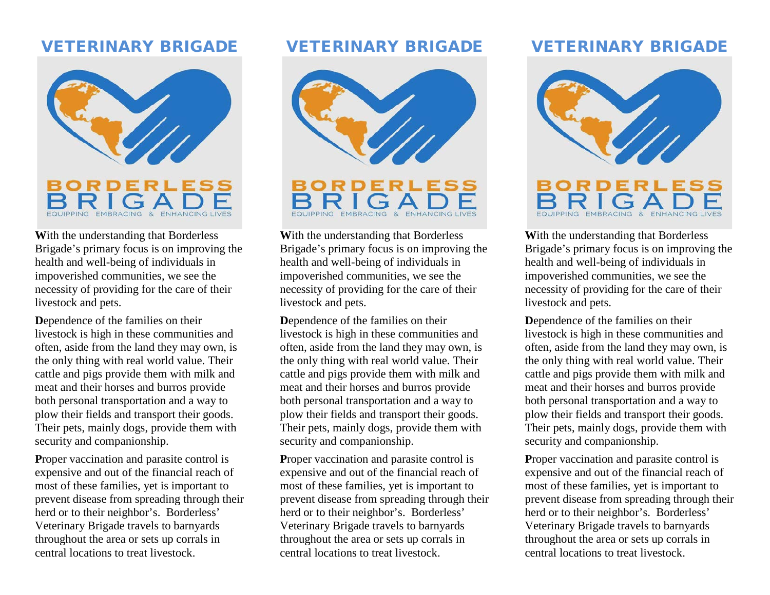## VETERINARY BRIGADE



**W**ith the understanding that Borderless Brigade's primary focus is on improving the health and well-being of individuals in impoverished communities, we see the necessity of providing for the care of their livestock and pets.

**D**ependence of the families on their livestock is high in these communities and often, aside from the land they may own, is the only thing with real world value. Their cattle and pigs provide them with milk and meat and their horses and burros provide both personal transportation and a way to plow their fields and transport their goods. Their pets, mainly dogs, provide them with security and companionship.

Proper vaccination and parasite control is expensive and out of the financial reach of most of these families, yet is important to prevent disease from spreading through their herd or to their neighbor's. Borderless' Veterinary Brigade travels to barnyards throughout the area or sets up corrals in central locations to treat livestock.

## VETERINARY BRIGADE



**W**ith the understanding that Borderless Brigade's primary focus is on improving the health and well-being of individuals in impoverished communities, we see the necessity of providing for the care of their livestock and pets.

**D**ependence of the families on their livestock is high in these communities and often, aside from the land they may own, is the only thing with real world value. Their cattle and pigs provide them with milk and meat and their horses and burros provide both personal transportation and a way to plow their fields and transport their goods. Their pets, mainly dogs, provide them with security and companionship.

Proper vaccination and parasite control is expensive and out of the financial reach of most of these families, yet is important to prevent disease from spreading through their herd or to their neighbor's. Borderless' Veterinary Brigade travels to barnyards throughout the area or sets up corrals in central locations to treat livestock.

# VETERINARY BRIGADE



**W**ith the understanding that Borderless Brigade's primary focus is on improving the health and well-being of individuals in impoverished communities, we see the necessity of providing for the care of their livestock and pets.

**D**ependence of the families on their livestock is high in these communities and often, aside from the land they may own, is the only thing with real world value. Their cattle and pigs provide them with milk and meat and their horses and burros provide both personal transportation and a way to plow their fields and transport their goods. Their pets, mainly dogs, provide them with security and companionship.

Proper vaccination and parasite control is expensive and out of the financial reach of most of these families, yet is important to prevent disease from spreading through their herd or to their neighbor's. Borderless' Veterinary Brigade travels to barnyards throughout the area or sets up corrals in central locations to treat livestock.